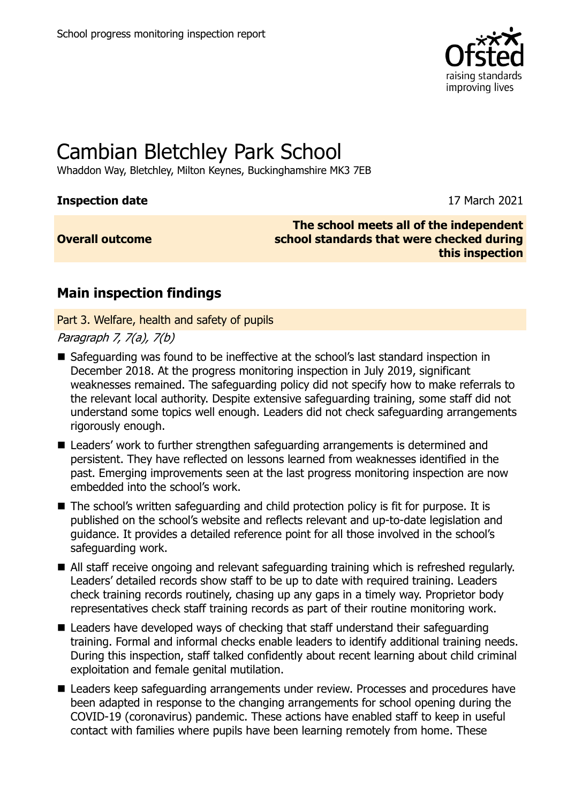

# Cambian Bletchley Park School

Whaddon Way, Bletchley, Milton Keynes, Buckinghamshire MK3 7EB

#### **Inspection date** 17 March 2021

#### **Overall outcome**

**The school meets all of the independent school standards that were checked during this inspection**

## **Main inspection findings**

Part 3. Welfare, health and safety of pupils

Paragraph 7, 7(a), 7(b)

- Safeguarding was found to be ineffective at the school's last standard inspection in December 2018. At the progress monitoring inspection in July 2019, significant weaknesses remained. The safeguarding policy did not specify how to make referrals to the relevant local authority. Despite extensive safeguarding training, some staff did not understand some topics well enough. Leaders did not check safeguarding arrangements rigorously enough.
- Leaders' work to further strengthen safeguarding arrangements is determined and persistent. They have reflected on lessons learned from weaknesses identified in the past. Emerging improvements seen at the last progress monitoring inspection are now embedded into the school's work.
- The school's written safequarding and child protection policy is fit for purpose. It is published on the school's website and reflects relevant and up-to-date legislation and guidance. It provides a detailed reference point for all those involved in the school's safeguarding work.
- All staff receive ongoing and relevant safeguarding training which is refreshed regularly. Leaders' detailed records show staff to be up to date with required training. Leaders check training records routinely, chasing up any gaps in a timely way. Proprietor body representatives check staff training records as part of their routine monitoring work.
- Leaders have developed ways of checking that staff understand their safeguarding training. Formal and informal checks enable leaders to identify additional training needs. During this inspection, staff talked confidently about recent learning about child criminal exploitation and female genital mutilation.
- Leaders keep safeguarding arrangements under review. Processes and procedures have been adapted in response to the changing arrangements for school opening during the COVID-19 (coronavirus) pandemic. These actions have enabled staff to keep in useful contact with families where pupils have been learning remotely from home. These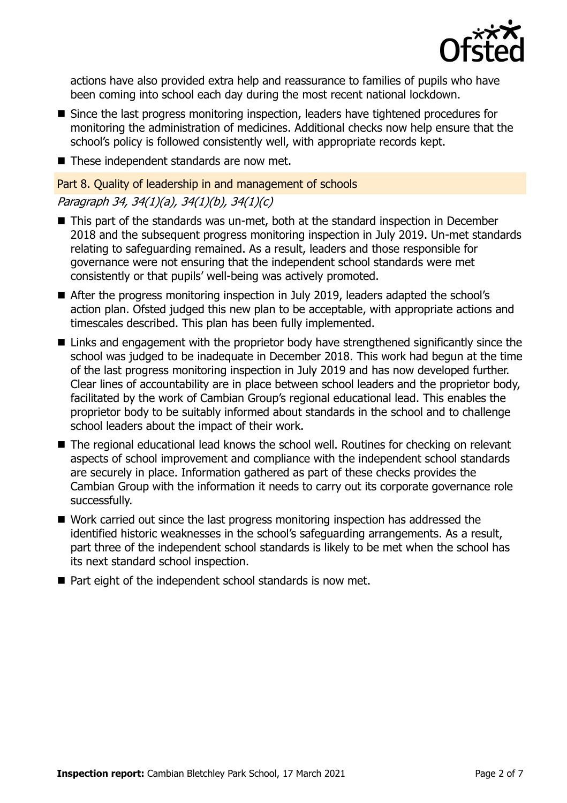

actions have also provided extra help and reassurance to families of pupils who have been coming into school each day during the most recent national lockdown.

- Since the last progress monitoring inspection, leaders have tightened procedures for monitoring the administration of medicines. Additional checks now help ensure that the school's policy is followed consistently well, with appropriate records kept.
- These independent standards are now met.

#### Part 8. Quality of leadership in and management of schools

#### Paragraph 34, 34(1)(a), 34(1)(b), 34(1)(c)

- This part of the standards was un-met, both at the standard inspection in December 2018 and the subsequent progress monitoring inspection in July 2019. Un-met standards relating to safeguarding remained. As a result, leaders and those responsible for governance were not ensuring that the independent school standards were met consistently or that pupils' well-being was actively promoted.
- After the progress monitoring inspection in July 2019, leaders adapted the school's action plan. Ofsted judged this new plan to be acceptable, with appropriate actions and timescales described. This plan has been fully implemented.
- Links and engagement with the proprietor body have strengthened significantly since the school was judged to be inadequate in December 2018. This work had begun at the time of the last progress monitoring inspection in July 2019 and has now developed further. Clear lines of accountability are in place between school leaders and the proprietor body, facilitated by the work of Cambian Group's regional educational lead. This enables the proprietor body to be suitably informed about standards in the school and to challenge school leaders about the impact of their work.
- The regional educational lead knows the school well. Routines for checking on relevant aspects of school improvement and compliance with the independent school standards are securely in place. Information gathered as part of these checks provides the Cambian Group with the information it needs to carry out its corporate governance role successfully.
- Work carried out since the last progress monitoring inspection has addressed the identified historic weaknesses in the school's safeguarding arrangements. As a result, part three of the independent school standards is likely to be met when the school has its next standard school inspection.
- Part eight of the independent school standards is now met.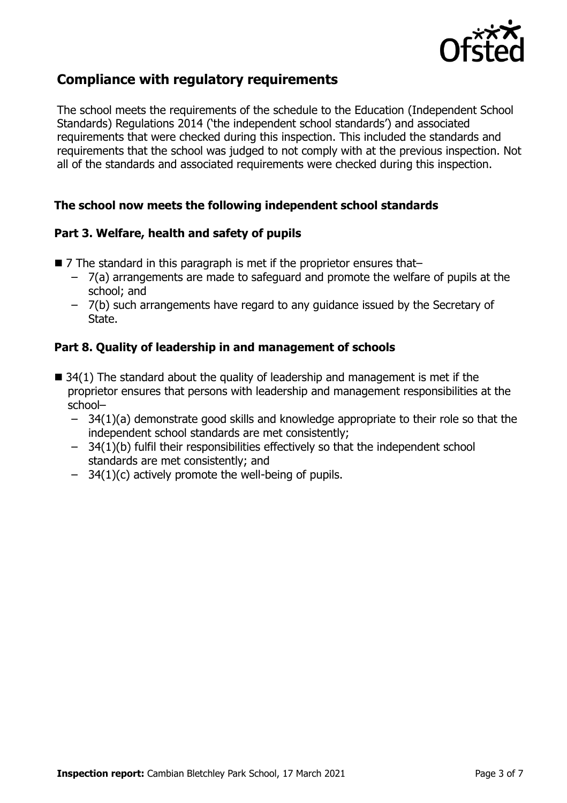

## **Compliance with regulatory requirements**

The school meets the requirements of the schedule to the Education (Independent School Standards) Regulations 2014 ('the independent school standards') and associated requirements that were checked during this inspection. This included the standards and requirements that the school was judged to not comply with at the previous inspection. Not all of the standards and associated requirements were checked during this inspection.

#### **The school now meets the following independent school standards**

#### **Part 3. Welfare, health and safety of pupils**

- 7 The standard in this paragraph is met if the proprietor ensures that–
	- 7(a) arrangements are made to safeguard and promote the welfare of pupils at the school; and
	- 7(b) such arrangements have regard to any guidance issued by the Secretary of State.

### **Part 8. Quality of leadership in and management of schools**

- $\blacksquare$  34(1) The standard about the quality of leadership and management is met if the proprietor ensures that persons with leadership and management responsibilities at the school–
	- $-$  34(1)(a) demonstrate good skills and knowledge appropriate to their role so that the independent school standards are met consistently;
	- 34(1)(b) fulfil their responsibilities effectively so that the independent school standards are met consistently; and
	- $-$  34(1)(c) actively promote the well-being of pupils.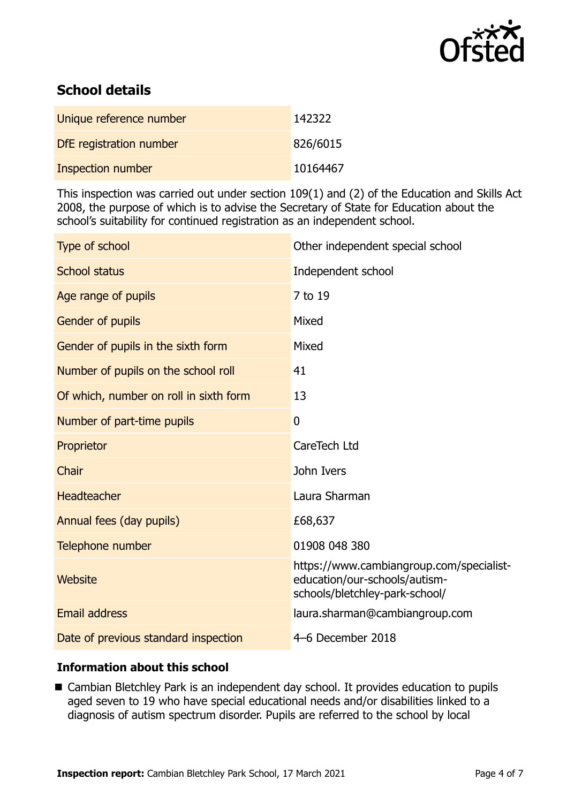

## **School details**

| Unique reference number  | 142322   |
|--------------------------|----------|
| DfE registration number  | 826/6015 |
| <b>Inspection number</b> | 10164467 |

This inspection was carried out under section 109(1) and (2) of the Education and Skills Act 2008, the purpose of which is to advise the Secretary of State for Education about the school's suitability for continued registration as an independent school.

| Type of school                         | Other independent special school                                                                            |
|----------------------------------------|-------------------------------------------------------------------------------------------------------------|
| <b>School status</b>                   | Independent school                                                                                          |
| Age range of pupils                    | 7 to 19                                                                                                     |
| Gender of pupils                       | Mixed                                                                                                       |
| Gender of pupils in the sixth form     | Mixed                                                                                                       |
| Number of pupils on the school roll    | 41                                                                                                          |
| Of which, number on roll in sixth form | 13                                                                                                          |
| Number of part-time pupils             | $\mathbf{0}$                                                                                                |
| Proprietor                             | CareTech Ltd                                                                                                |
| Chair                                  | John Ivers                                                                                                  |
| <b>Headteacher</b>                     | Laura Sharman                                                                                               |
| Annual fees (day pupils)               | £68,637                                                                                                     |
| Telephone number                       | 01908 048 380                                                                                               |
| Website                                | https://www.cambiangroup.com/specialist-<br>education/our-schools/autism-<br>schools/bletchley-park-school/ |
| <b>Email address</b>                   | laura.sharman@cambiangroup.com                                                                              |
| Date of previous standard inspection   | 4-6 December 2018                                                                                           |

#### **Information about this school**

■ Cambian Bletchley Park is an independent day school. It provides education to pupils aged seven to 19 who have special educational needs and/or disabilities linked to a diagnosis of autism spectrum disorder. Pupils are referred to the school by local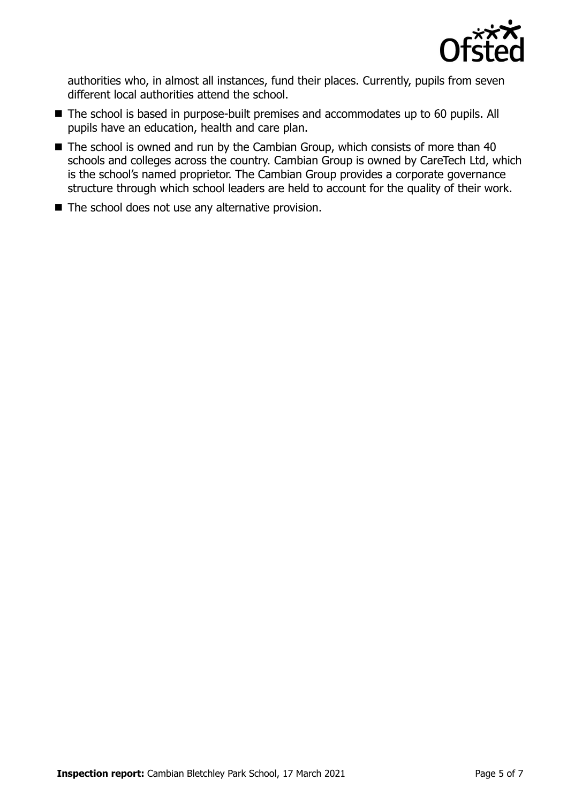

authorities who, in almost all instances, fund their places. Currently, pupils from seven different local authorities attend the school.

- The school is based in purpose-built premises and accommodates up to 60 pupils. All pupils have an education, health and care plan.
- $\blacksquare$  The school is owned and run by the Cambian Group, which consists of more than 40 schools and colleges across the country. Cambian Group is owned by CareTech Ltd, which is the school's named proprietor. The Cambian Group provides a corporate governance structure through which school leaders are held to account for the quality of their work.
- $\blacksquare$  The school does not use any alternative provision.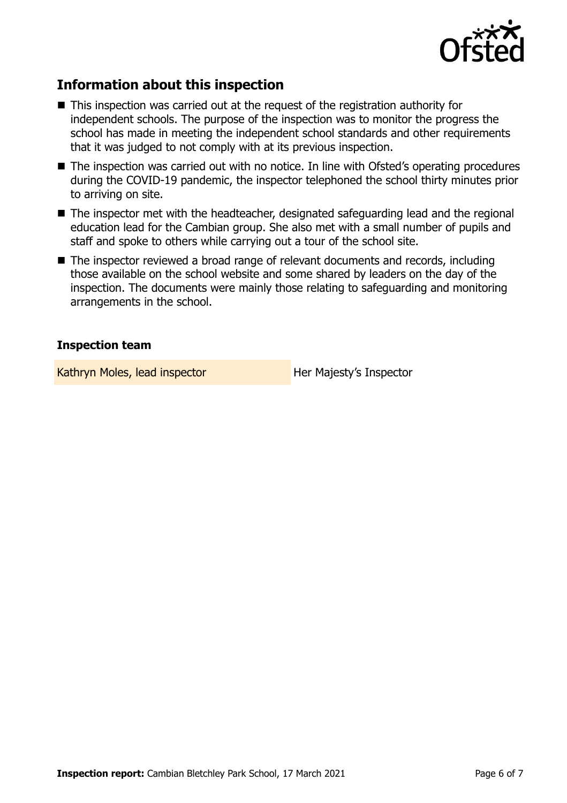

## **Information about this inspection**

- This inspection was carried out at the request of the registration authority for independent schools. The purpose of the inspection was to monitor the progress the school has made in meeting the independent school standards and other requirements that it was judged to not comply with at its previous inspection.
- The inspection was carried out with no notice. In line with Ofsted's operating procedures during the COVID-19 pandemic, the inspector telephoned the school thirty minutes prior to arriving on site.
- The inspector met with the headteacher, designated safeguarding lead and the regional education lead for the Cambian group. She also met with a small number of pupils and staff and spoke to others while carrying out a tour of the school site.
- The inspector reviewed a broad range of relevant documents and records, including those available on the school website and some shared by leaders on the day of the inspection. The documents were mainly those relating to safeguarding and monitoring arrangements in the school.

#### **Inspection team**

Kathryn Moles, lead inspector **Her Majesty's Inspector**